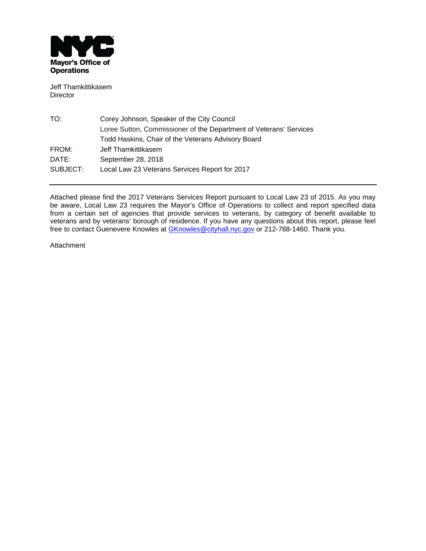

Jeff Thamkittikasem Director

| TO:      | Corey Johnson, Speaker of the City Council                         |
|----------|--------------------------------------------------------------------|
|          | Loree Sutton, Commissioner of the Department of Veterans' Services |
|          | Todd Haskins, Chair of the Veterans Advisory Board                 |
| FROM:    | Jeff Thamkittikasem                                                |
| DATE:    | September 28, 2018                                                 |
| SUBJECT: | Local Law 23 Veterans Services Report for 2017                     |

Attached please find the 2017 Veterans Services Report pursuant to Local Law 23 of 2015. As you may be aware, Local Law 23 requires the Mayor's Office of Operations to collect and report specified data from a certain set of agencies that provide services to veterans, by category of benefit available to veterans and by veterans' borough of residence. If you have any questions about this report, please feel free to contact Guenevere Knowles at <u>GKnowles@cityhall.nyc.gov</u> or 212-788-1460. Thank you.

Attachment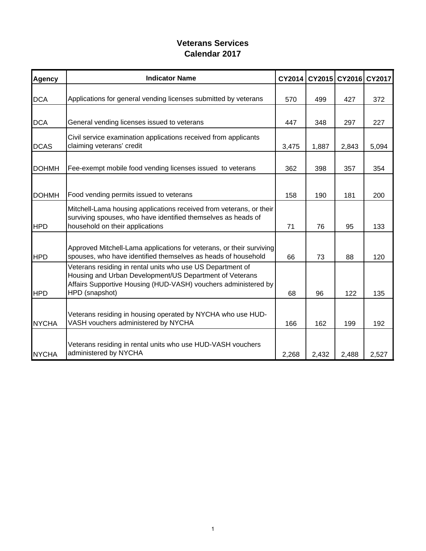# **Veterans Services Calendar 2017**

| <b>Agency</b> | <b>Indicator Name</b>                                                                                                                                                                                     | CY2014 | CY2015 |       | CY2016 CY2017 |
|---------------|-----------------------------------------------------------------------------------------------------------------------------------------------------------------------------------------------------------|--------|--------|-------|---------------|
| <b>DCA</b>    | Applications for general vending licenses submitted by veterans                                                                                                                                           | 570    | 499    | 427   | 372           |
| <b>DCA</b>    | General vending licenses issued to veterans                                                                                                                                                               | 447    | 348    | 297   | 227           |
| <b>DCAS</b>   | Civil service examination applications received from applicants<br>claiming veterans' credit                                                                                                              | 3,475  | 1,887  | 2,843 | 5,094         |
| <b>DOHMH</b>  | Fee-exempt mobile food vending licenses issued to veterans                                                                                                                                                | 362    | 398    | 357   | 354           |
| <b>DOHMH</b>  | Food vending permits issued to veterans                                                                                                                                                                   | 158    | 190    | 181   | 200           |
| <b>HPD</b>    | Mitchell-Lama housing applications received from veterans, or their<br>surviving spouses, who have identified themselves as heads of<br>household on their applications                                   | 71     | 76     | 95    | 133           |
| <b>HPD</b>    | Approved Mitchell-Lama applications for veterans, or their surviving<br>spouses, who have identified themselves as heads of household                                                                     | 66     | 73     | 88    | 120           |
| <b>HPD</b>    | Veterans residing in rental units who use US Department of<br>Housing and Urban Development/US Department of Veterans<br>Affairs Supportive Housing (HUD-VASH) vouchers administered by<br>HPD (snapshot) | 68     | 96     | 122   | 135           |
| <b>NYCHA</b>  | Veterans residing in housing operated by NYCHA who use HUD-<br>VASH vouchers administered by NYCHA                                                                                                        | 166    | 162    | 199   | 192           |
| <b>NYCHA</b>  | Veterans residing in rental units who use HUD-VASH vouchers<br>administered by NYCHA                                                                                                                      | 2,268  | 2,432  | 2,488 | 2,527         |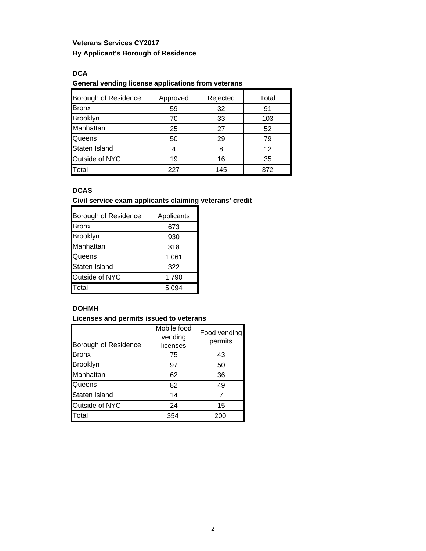# **Veterans Services CY2017 By Applicant's Borough of Residence**

**DCA**

#### **General vending license applications from veterans**

| Borough of Residence | Approved | Rejected | Total |
|----------------------|----------|----------|-------|
| <b>Bronx</b>         | 59       | 32       | 91    |
| Brooklyn             | 70       | 33       | 103   |
| Manhattan            | 25       | 27       | 52    |
| Queens               | 50       | 29       | 79    |
| Staten Island        |          |          | 12    |
| Outside of NYC       | 19       | 16       | 35    |
| <b>T</b> otal        | 227      | 145      | 372   |

### **DCAS**

**Civil service exam applicants claiming veterans' credit** 

| Borough of Residence | Applicants |
|----------------------|------------|
| Bronx                | 673        |
| Brooklyn             | 930        |
| Manhattan            | 318        |
| Queens               | 1,061      |
| Staten Island        | 322        |
| Outside of NYC       | 1,790      |
| Total                | 5,094      |

### **DOHMH**

**Licenses and permits issued to veterans** 

| Borough of Residence | Mobile food<br>vending<br>licenses | Food vending<br>permits |
|----------------------|------------------------------------|-------------------------|
| <b>Bronx</b>         | 75                                 | 43                      |
| Brooklyn             | 97                                 | 50                      |
| Manhattan            | 62                                 | 36                      |
| Queens               | 82                                 | 49                      |
| Staten Island        | 14                                 |                         |
| Outside of NYC       | 24                                 | 15                      |
| Total                | 354                                | 200                     |